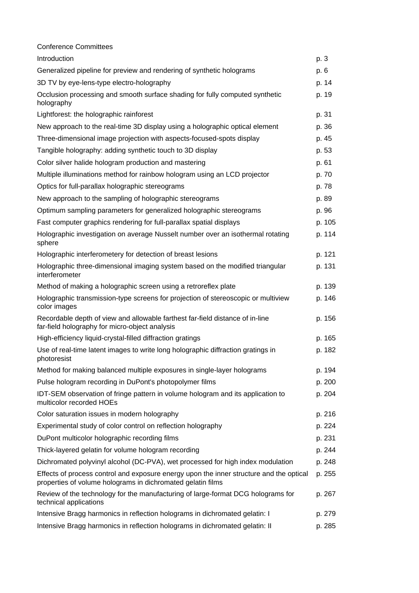| <b>Conference Committees</b>                                                                                                                           |        |
|--------------------------------------------------------------------------------------------------------------------------------------------------------|--------|
| Introduction                                                                                                                                           | p. 3   |
| Generalized pipeline for preview and rendering of synthetic holograms                                                                                  | p. 6   |
| 3D TV by eye-lens-type electro-holography                                                                                                              | p. 14  |
| Occlusion processing and smooth surface shading for fully computed synthetic<br>holography                                                             | p. 19  |
| Lightforest: the holographic rainforest                                                                                                                | p. 31  |
| New approach to the real-time 3D display using a holographic optical element                                                                           | p. 36  |
| Three-dimensional image projection with aspects-focused-spots display                                                                                  | p. 45  |
| Tangible holography: adding synthetic touch to 3D display                                                                                              | p. 53  |
| Color silver halide hologram production and mastering                                                                                                  | p. 61  |
| Multiple illuminations method for rainbow hologram using an LCD projector                                                                              | p. 70  |
| Optics for full-parallax holographic stereograms                                                                                                       | p. 78  |
| New approach to the sampling of holographic stereograms                                                                                                | p. 89  |
| Optimum sampling parameters for generalized holographic stereograms                                                                                    | p. 96  |
| Fast computer graphics rendering for full-parallax spatial displays                                                                                    | p. 105 |
| Holographic investigation on average Nusselt number over an isothermal rotating<br>sphere                                                              | p. 114 |
| Holographic interferometery for detection of breast lesions                                                                                            | p. 121 |
| Holographic three-dimensional imaging system based on the modified triangular<br>interferometer                                                        | p. 131 |
| Method of making a holographic screen using a retroreflex plate                                                                                        | p. 139 |
| Holographic transmission-type screens for projection of stereoscopic or multiview<br>color images                                                      | p. 146 |
| Recordable depth of view and allowable farthest far-field distance of in-line<br>far-field holography for micro-object analysis                        | p. 156 |
| High-efficiency liquid-crystal-filled diffraction gratings                                                                                             | p. 165 |
| Use of real-time latent images to write long holographic diffraction gratings in<br>photoresist                                                        | p. 182 |
| Method for making balanced multiple exposures in single-layer holograms                                                                                | p. 194 |
| Pulse hologram recording in DuPont's photopolymer films                                                                                                | p. 200 |
| IDT-SEM observation of fringe pattern in volume hologram and its application to<br>multicolor recorded HOEs                                            | p. 204 |
| Color saturation issues in modern holography                                                                                                           | p. 216 |
| Experimental study of color control on reflection holography                                                                                           | p. 224 |
| DuPont multicolor holographic recording films                                                                                                          | p. 231 |
| Thick-layered gelatin for volume hologram recording                                                                                                    | p. 244 |
| Dichromated polyvinyl alcohol (DC-PVA), wet processed for high index modulation                                                                        | p. 248 |
| Effects of process control and exposure energy upon the inner structure and the optical<br>properties of volume holograms in dichromated gelatin films | p. 255 |
| Review of the technology for the manufacturing of large-format DCG holograms for<br>technical applications                                             | p. 267 |
| Intensive Bragg harmonics in reflection holograms in dichromated gelatin: I                                                                            | p. 279 |
| Intensive Bragg harmonics in reflection holograms in dichromated gelatin: II                                                                           | p. 285 |